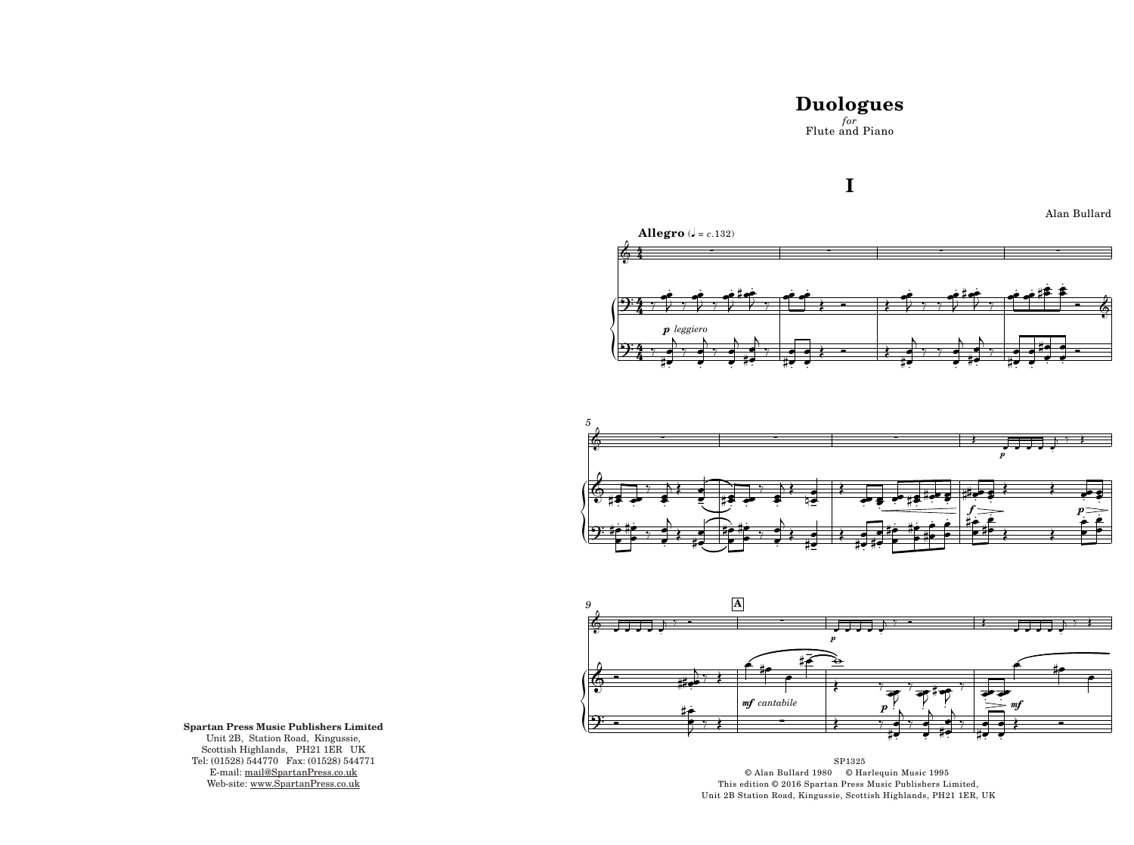## **Duologues**  $for$  Flute and Piano

## I







SP1325 © Alan Bullard 1980 © Harlequin Music 1995 This edition © 2016 Spartan Press Music Publishers Limited, Unit 2B Station Road, Kingussie, Scottish Highlands, PH21 1ER, UK

Alan Bullard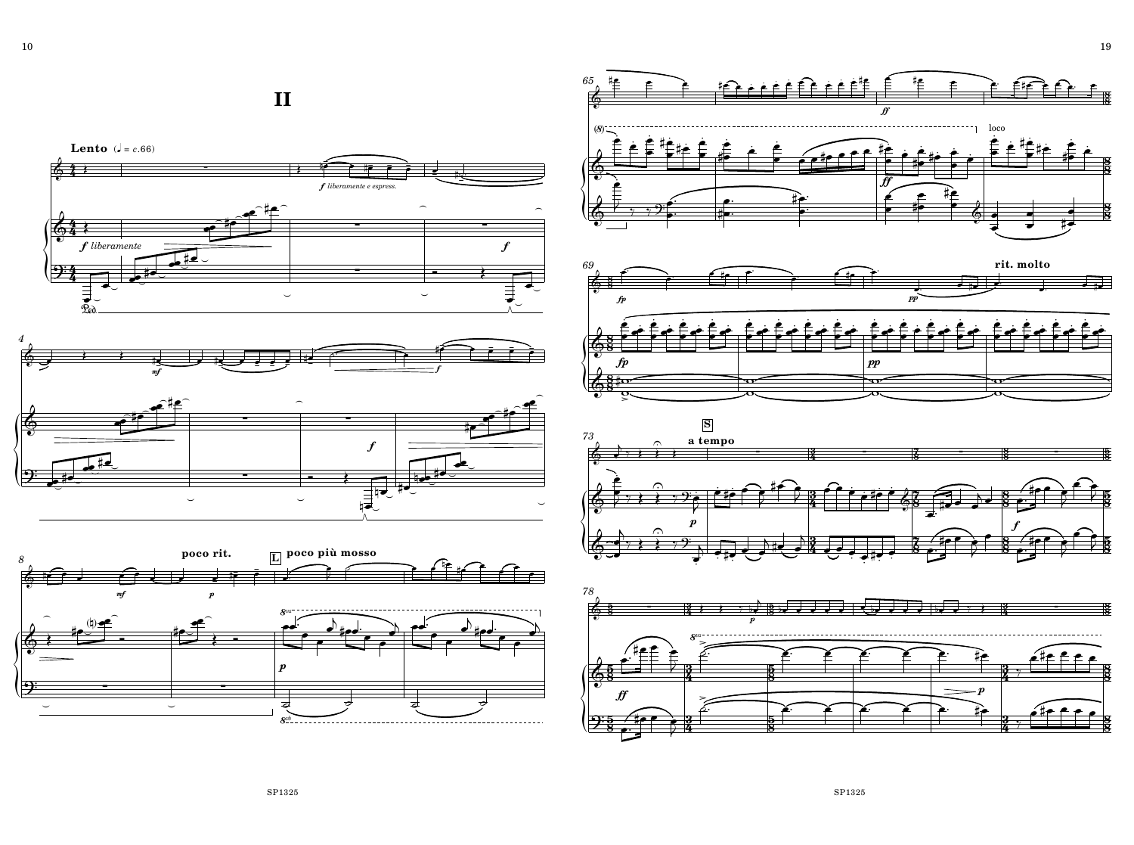





**II**